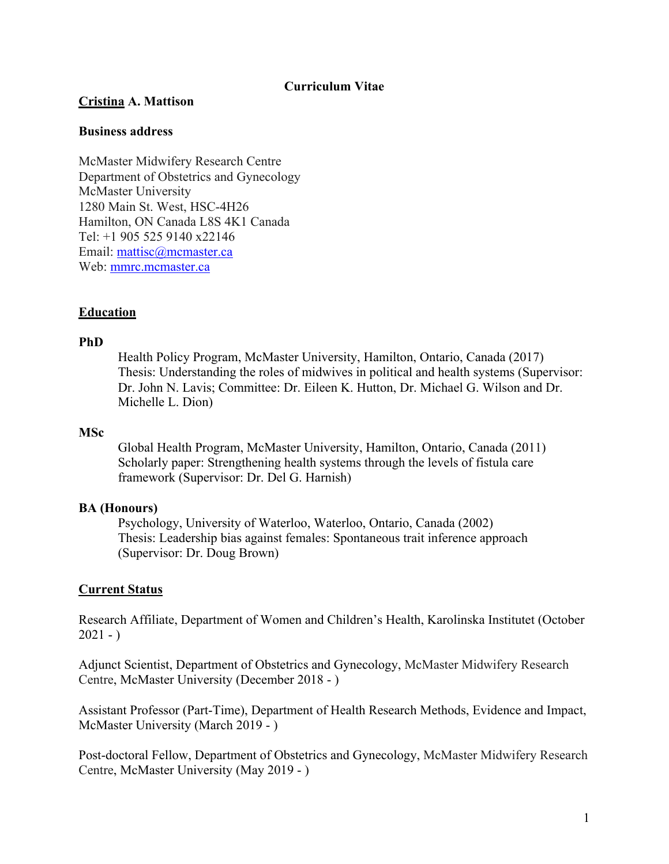### **Curriculum Vitae**

### **Cristina A. Mattison**

### **Business address**

McMaster Midwifery Research Centre Department of Obstetrics and Gynecology McMaster University 1280 Main St. West, HSC-4H26 Hamilton, ON Canada L8S 4K1 Canada Tel: +1 905 525 9140 x22146 Email: mattisc@mcmaster.ca Web: mmrc.mcmaster.ca

# **Education**

## **PhD**

Health Policy Program, McMaster University, Hamilton, Ontario, Canada (2017) Thesis: Understanding the roles of midwives in political and health systems (Supervisor: Dr. John N. Lavis; Committee: Dr. Eileen K. Hutton, Dr. Michael G. Wilson and Dr. Michelle L. Dion)

### **MSc**

Global Health Program, McMaster University, Hamilton, Ontario, Canada (2011) Scholarly paper: Strengthening health systems through the levels of fistula care framework (Supervisor: Dr. Del G. Harnish)

### **BA (Honours)**

Psychology, University of Waterloo, Waterloo, Ontario, Canada (2002) Thesis: Leadership bias against females: Spontaneous trait inference approach (Supervisor: Dr. Doug Brown)

### **Current Status**

Research Affiliate, Department of Women and Children's Health, Karolinska Institutet (October  $2021 - )$ 

Adjunct Scientist, Department of Obstetrics and Gynecology, McMaster Midwifery Research Centre, McMaster University (December 2018 - )

Assistant Professor (Part-Time), Department of Health Research Methods, Evidence and Impact, McMaster University (March 2019 - )

Post-doctoral Fellow, Department of Obstetrics and Gynecology, McMaster Midwifery Research Centre, McMaster University (May 2019 - )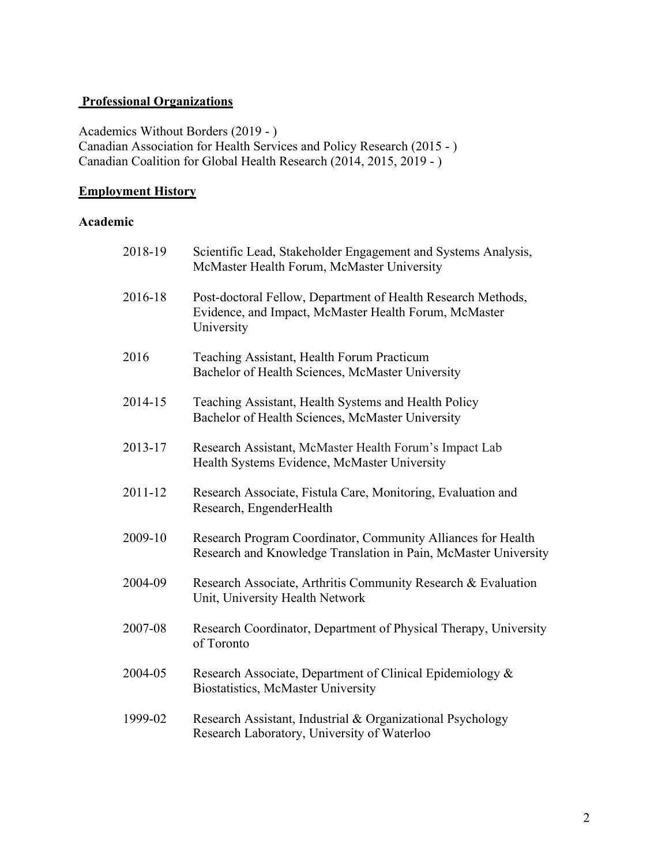# **Professional Organizations**

Academics Without Borders (2019 - ) Canadian Association for Health Services and Policy Research (2015 - ) Canadian Coalition for Global Health Research (2014, 2015, 2019 - )

# **Employment History**

# **Academic**

| 2018-19 | Scientific Lead, Stakeholder Engagement and Systems Analysis,<br>McMaster Health Forum, McMaster University                         |
|---------|-------------------------------------------------------------------------------------------------------------------------------------|
| 2016-18 | Post-doctoral Fellow, Department of Health Research Methods,<br>Evidence, and Impact, McMaster Health Forum, McMaster<br>University |
| 2016    | Teaching Assistant, Health Forum Practicum<br>Bachelor of Health Sciences, McMaster University                                      |
| 2014-15 | Teaching Assistant, Health Systems and Health Policy<br>Bachelor of Health Sciences, McMaster University                            |
| 2013-17 | Research Assistant, McMaster Health Forum's Impact Lab<br>Health Systems Evidence, McMaster University                              |
| 2011-12 | Research Associate, Fistula Care, Monitoring, Evaluation and<br>Research, EngenderHealth                                            |
| 2009-10 | Research Program Coordinator, Community Alliances for Health<br>Research and Knowledge Translation in Pain, McMaster University     |
| 2004-09 | Research Associate, Arthritis Community Research & Evaluation<br>Unit, University Health Network                                    |
| 2007-08 | Research Coordinator, Department of Physical Therapy, University<br>of Toronto                                                      |
| 2004-05 | Research Associate, Department of Clinical Epidemiology &<br>Biostatistics, McMaster University                                     |
| 1999-02 | Research Assistant, Industrial & Organizational Psychology<br>Research Laboratory, University of Waterloo                           |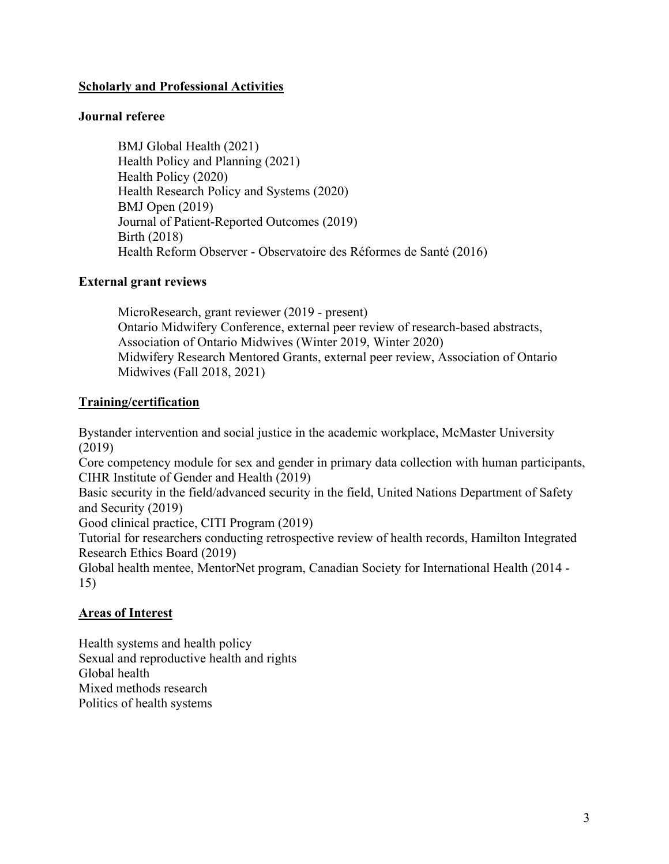# **Scholarly and Professional Activities**

# **Journal referee**

BMJ Global Health (2021) Health Policy and Planning (2021) Health Policy (2020) Health Research Policy and Systems (2020) BMJ Open (2019) Journal of Patient-Reported Outcomes (2019) Birth (2018) Health Reform Observer - Observatoire des Réformes de Santé (2016)

# **External grant reviews**

MicroResearch, grant reviewer (2019 - present) Ontario Midwifery Conference, external peer review of research-based abstracts, Association of Ontario Midwives (Winter 2019, Winter 2020) Midwifery Research Mentored Grants, external peer review, Association of Ontario Midwives (Fall 2018, 2021)

# **Training/certification**

Bystander intervention and social justice in the academic workplace, McMaster University (2019)

Core competency module for sex and gender in primary data collection with human participants, CIHR Institute of Gender and Health (2019)

Basic security in the field/advanced security in the field, United Nations Department of Safety and Security (2019)

Good clinical practice, CITI Program (2019)

Tutorial for researchers conducting retrospective review of health records, Hamilton Integrated Research Ethics Board (2019)

Global health mentee, MentorNet program, Canadian Society for International Health (2014 - 15)

# **Areas of Interest**

Health systems and health policy Sexual and reproductive health and rights Global health Mixed methods research Politics of health systems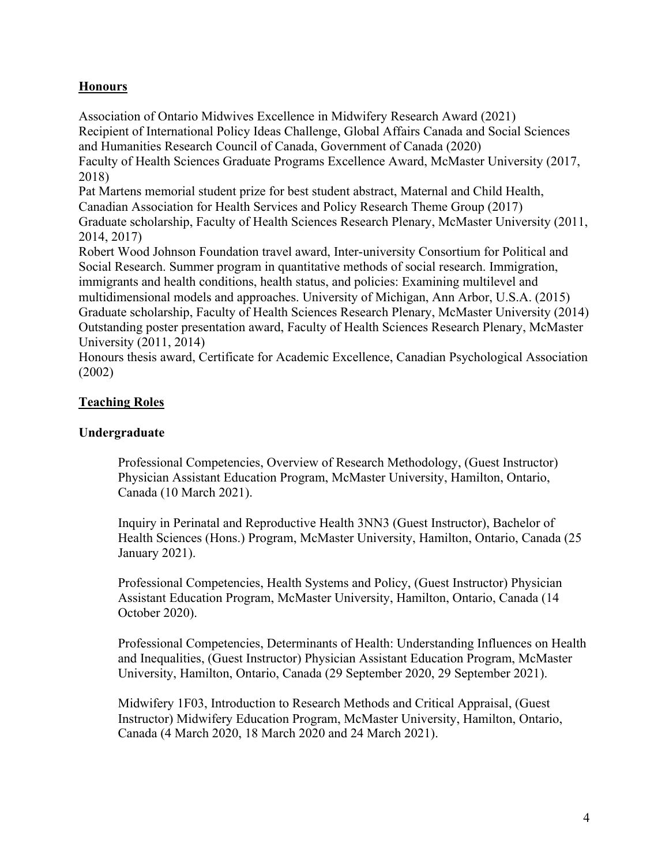# **Honours**

Association of Ontario Midwives Excellence in Midwifery Research Award (2021) Recipient of International Policy Ideas Challenge, Global Affairs Canada and Social Sciences and Humanities Research Council of Canada, Government of Canada (2020) Faculty of Health Sciences Graduate Programs Excellence Award, McMaster University (2017, 2018) Pat Martens memorial student prize for best student abstract, Maternal and Child Health, Canadian Association for Health Services and Policy Research Theme Group (2017) Graduate scholarship, Faculty of Health Sciences Research Plenary, McMaster University (2011, 2014, 2017) Robert Wood Johnson Foundation travel award, Inter-university Consortium for Political and Social Research. Summer program in quantitative methods of social research. Immigration, immigrants and health conditions, health status, and policies: Examining multilevel and multidimensional models and approaches. University of Michigan, Ann Arbor, U.S.A. (2015) Graduate scholarship, Faculty of Health Sciences Research Plenary, McMaster University (2014) Outstanding poster presentation award, Faculty of Health Sciences Research Plenary, McMaster University (2011, 2014)

Honours thesis award, Certificate for Academic Excellence, Canadian Psychological Association (2002)

# **Teaching Roles**

# **Undergraduate**

Professional Competencies, Overview of Research Methodology, (Guest Instructor) Physician Assistant Education Program, McMaster University, Hamilton, Ontario, Canada (10 March 2021).

Inquiry in Perinatal and Reproductive Health 3NN3 (Guest Instructor), Bachelor of Health Sciences (Hons.) Program, McMaster University, Hamilton, Ontario, Canada (25 January 2021).

Professional Competencies, Health Systems and Policy, (Guest Instructor) Physician Assistant Education Program, McMaster University, Hamilton, Ontario, Canada (14 October 2020).

Professional Competencies, Determinants of Health: Understanding Influences on Health and Inequalities, (Guest Instructor) Physician Assistant Education Program, McMaster University, Hamilton, Ontario, Canada (29 September 2020, 29 September 2021).

Midwifery 1F03, Introduction to Research Methods and Critical Appraisal, (Guest Instructor) Midwifery Education Program, McMaster University, Hamilton, Ontario, Canada (4 March 2020, 18 March 2020 and 24 March 2021).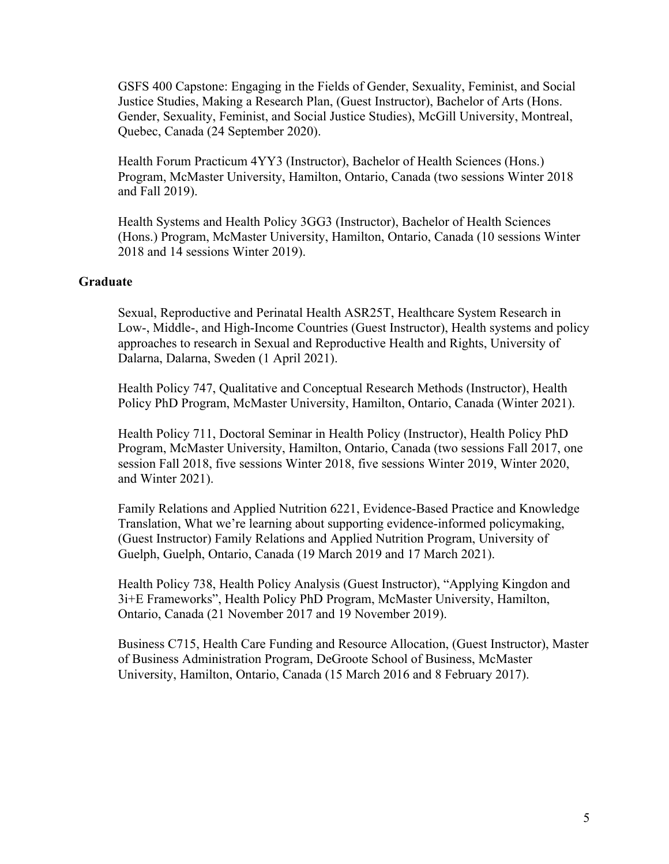GSFS 400 Capstone: Engaging in the Fields of Gender, Sexuality, Feminist, and Social Justice Studies, Making a Research Plan, (Guest Instructor), Bachelor of Arts (Hons. Gender, Sexuality, Feminist, and Social Justice Studies), McGill University, Montreal, Quebec, Canada (24 September 2020).

Health Forum Practicum 4YY3 (Instructor), Bachelor of Health Sciences (Hons.) Program, McMaster University, Hamilton, Ontario, Canada (two sessions Winter 2018 and Fall 2019).

Health Systems and Health Policy 3GG3 (Instructor), Bachelor of Health Sciences (Hons.) Program, McMaster University, Hamilton, Ontario, Canada (10 sessions Winter 2018 and 14 sessions Winter 2019).

#### **Graduate**

Sexual, Reproductive and Perinatal Health ASR25T, Healthcare System Research in Low-, Middle-, and High-Income Countries (Guest Instructor), Health systems and policy approaches to research in Sexual and Reproductive Health and Rights, University of Dalarna, Dalarna, Sweden (1 April 2021).

Health Policy 747, Qualitative and Conceptual Research Methods (Instructor), Health Policy PhD Program, McMaster University, Hamilton, Ontario, Canada (Winter 2021).

Health Policy 711, Doctoral Seminar in Health Policy (Instructor), Health Policy PhD Program, McMaster University, Hamilton, Ontario, Canada (two sessions Fall 2017, one session Fall 2018, five sessions Winter 2018, five sessions Winter 2019, Winter 2020, and Winter 2021).

Family Relations and Applied Nutrition 6221, Evidence-Based Practice and Knowledge Translation, What we're learning about supporting evidence-informed policymaking, (Guest Instructor) Family Relations and Applied Nutrition Program, University of Guelph, Guelph, Ontario, Canada (19 March 2019 and 17 March 2021).

Health Policy 738, Health Policy Analysis (Guest Instructor), "Applying Kingdon and 3i+E Frameworks", Health Policy PhD Program, McMaster University, Hamilton, Ontario, Canada (21 November 2017 and 19 November 2019).

Business C715, Health Care Funding and Resource Allocation, (Guest Instructor), Master of Business Administration Program, DeGroote School of Business, McMaster University, Hamilton, Ontario, Canada (15 March 2016 and 8 February 2017).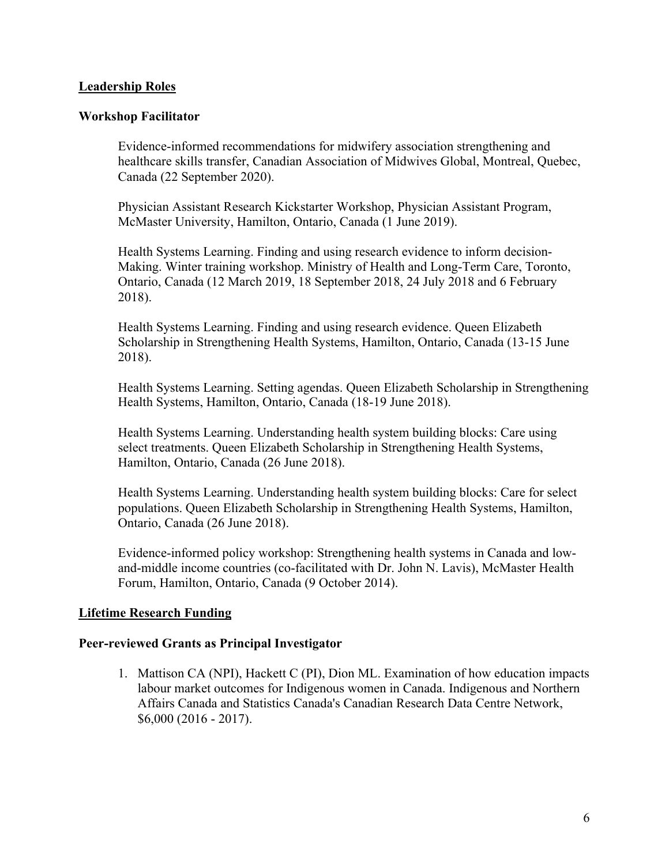### **Leadership Roles**

#### **Workshop Facilitator**

Evidence-informed recommendations for midwifery association strengthening and healthcare skills transfer, Canadian Association of Midwives Global, Montreal, Quebec, Canada (22 September 2020).

Physician Assistant Research Kickstarter Workshop, Physician Assistant Program, McMaster University, Hamilton, Ontario, Canada (1 June 2019).

Health Systems Learning. Finding and using research evidence to inform decision-Making. Winter training workshop. Ministry of Health and Long-Term Care, Toronto, Ontario, Canada (12 March 2019, 18 September 2018, 24 July 2018 and 6 February 2018).

Health Systems Learning. Finding and using research evidence. Queen Elizabeth Scholarship in Strengthening Health Systems, Hamilton, Ontario, Canada (13-15 June 2018).

Health Systems Learning. Setting agendas. Queen Elizabeth Scholarship in Strengthening Health Systems, Hamilton, Ontario, Canada (18-19 June 2018).

Health Systems Learning. Understanding health system building blocks: Care using select treatments. Queen Elizabeth Scholarship in Strengthening Health Systems, Hamilton, Ontario, Canada (26 June 2018).

Health Systems Learning. Understanding health system building blocks: Care for select populations. Queen Elizabeth Scholarship in Strengthening Health Systems, Hamilton, Ontario, Canada (26 June 2018).

Evidence-informed policy workshop: Strengthening health systems in Canada and lowand-middle income countries (co-facilitated with Dr. John N. Lavis), McMaster Health Forum, Hamilton, Ontario, Canada (9 October 2014).

### **Lifetime Research Funding**

#### **Peer-reviewed Grants as Principal Investigator**

1. Mattison CA (NPI), Hackett C (PI), Dion ML. Examination of how education impacts labour market outcomes for Indigenous women in Canada. Indigenous and Northern Affairs Canada and Statistics Canada's Canadian Research Data Centre Network, \$6,000 (2016 - 2017).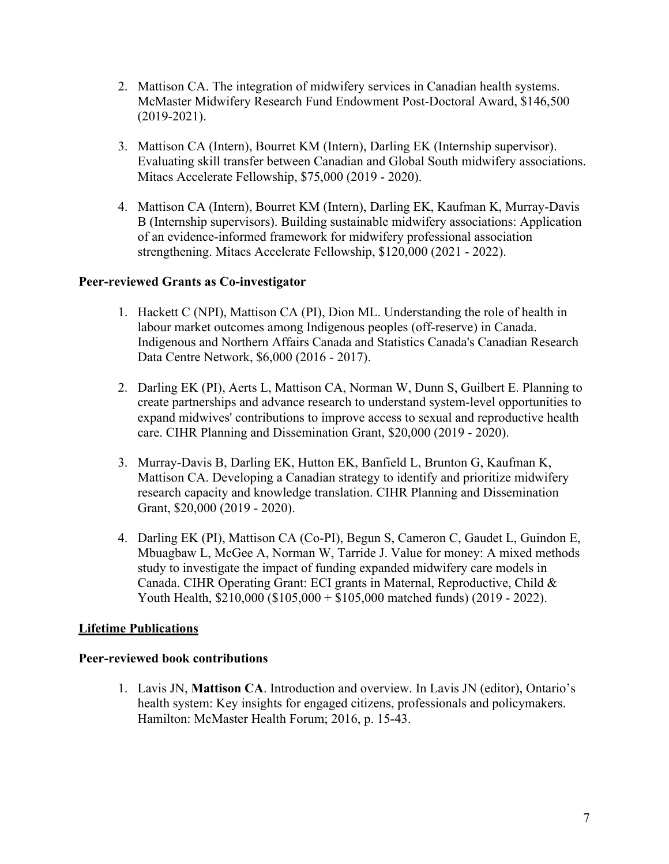- 2. Mattison CA. The integration of midwifery services in Canadian health systems. McMaster Midwifery Research Fund Endowment Post-Doctoral Award, \$146,500 (2019-2021).
- 3. Mattison CA (Intern), Bourret KM (Intern), Darling EK (Internship supervisor). Evaluating skill transfer between Canadian and Global South midwifery associations. Mitacs Accelerate Fellowship, \$75,000 (2019 - 2020).
- 4. Mattison CA (Intern), Bourret KM (Intern), Darling EK, Kaufman K, Murray-Davis B (Internship supervisors). Building sustainable midwifery associations: Application of an evidence-informed framework for midwifery professional association strengthening. Mitacs Accelerate Fellowship, \$120,000 (2021 - 2022).

# **Peer-reviewed Grants as Co-investigator**

- 1. Hackett C (NPI), Mattison CA (PI), Dion ML. Understanding the role of health in labour market outcomes among Indigenous peoples (off-reserve) in Canada. Indigenous and Northern Affairs Canada and Statistics Canada's Canadian Research Data Centre Network, \$6,000 (2016 - 2017).
- 2. Darling EK (PI), Aerts L, Mattison CA, Norman W, Dunn S, Guilbert E. Planning to create partnerships and advance research to understand system-level opportunities to expand midwives' contributions to improve access to sexual and reproductive health care. CIHR Planning and Dissemination Grant, \$20,000 (2019 - 2020).
- 3. Murray-Davis B, Darling EK, Hutton EK, Banfield L, Brunton G, Kaufman K, Mattison CA. Developing a Canadian strategy to identify and prioritize midwifery research capacity and knowledge translation. CIHR Planning and Dissemination Grant, \$20,000 (2019 - 2020).
- 4. Darling EK (PI), Mattison CA (Co-PI), Begun S, Cameron C, Gaudet L, Guindon E, Mbuagbaw L, McGee A, Norman W, Tarride J. Value for money: A mixed methods study to investigate the impact of funding expanded midwifery care models in Canada. CIHR Operating Grant: ECI grants in Maternal, Reproductive, Child & Youth Health, \$210,000 (\$105,000 + \$105,000 matched funds) (2019 - 2022).

# **Lifetime Publications**

### **Peer-reviewed book contributions**

1. Lavis JN, **Mattison CA**. Introduction and overview. In Lavis JN (editor), Ontario's health system: Key insights for engaged citizens, professionals and policymakers. Hamilton: McMaster Health Forum; 2016, p. 15-43.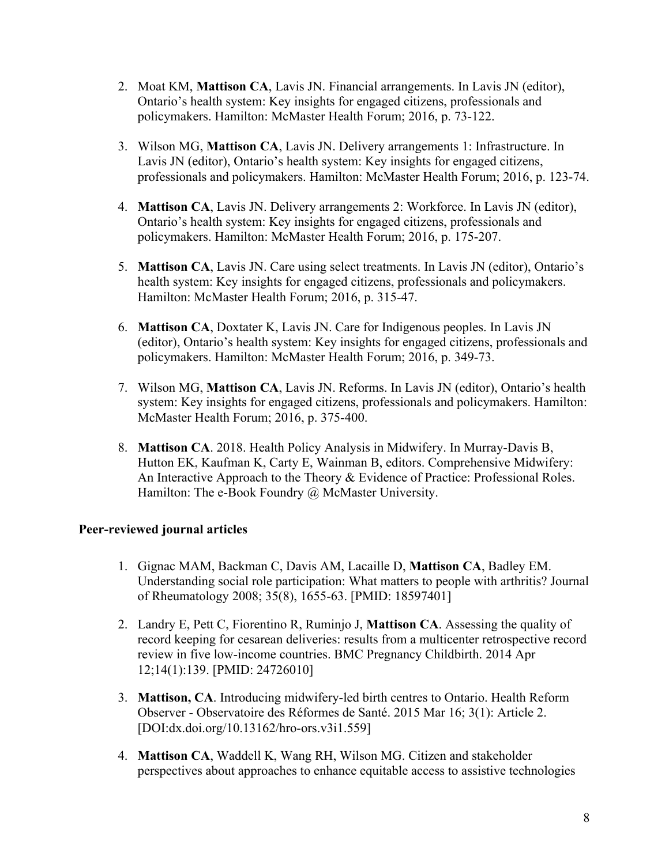- 2. Moat KM, **Mattison CA**, Lavis JN. Financial arrangements. In Lavis JN (editor), Ontario's health system: Key insights for engaged citizens, professionals and policymakers. Hamilton: McMaster Health Forum; 2016, p. 73-122.
- 3. Wilson MG, **Mattison CA**, Lavis JN. Delivery arrangements 1: Infrastructure. In Lavis JN (editor), Ontario's health system: Key insights for engaged citizens, professionals and policymakers. Hamilton: McMaster Health Forum; 2016, p. 123-74.
- 4. **Mattison CA**, Lavis JN. Delivery arrangements 2: Workforce. In Lavis JN (editor), Ontario's health system: Key insights for engaged citizens, professionals and policymakers. Hamilton: McMaster Health Forum; 2016, p. 175-207.
- 5. **Mattison CA**, Lavis JN. Care using select treatments. In Lavis JN (editor), Ontario's health system: Key insights for engaged citizens, professionals and policymakers. Hamilton: McMaster Health Forum; 2016, p. 315-47.
- 6. **Mattison CA**, Doxtater K, Lavis JN. Care for Indigenous peoples. In Lavis JN (editor), Ontario's health system: Key insights for engaged citizens, professionals and policymakers. Hamilton: McMaster Health Forum; 2016, p. 349-73.
- 7. Wilson MG, **Mattison CA**, Lavis JN. Reforms. In Lavis JN (editor), Ontario's health system: Key insights for engaged citizens, professionals and policymakers. Hamilton: McMaster Health Forum; 2016, p. 375-400.
- 8. **Mattison CA**. 2018. Health Policy Analysis in Midwifery. In Murray-Davis B, Hutton EK, Kaufman K, Carty E, Wainman B, editors. Comprehensive Midwifery: An Interactive Approach to the Theory & Evidence of Practice: Professional Roles. Hamilton: The e-Book Foundry @ McMaster University.

# **Peer-reviewed journal articles**

- 1. Gignac MAM, Backman C, Davis AM, Lacaille D, **Mattison CA**, Badley EM. Understanding social role participation: What matters to people with arthritis? Journal of Rheumatology 2008; 35(8), 1655-63. [PMID: 18597401]
- 2. Landry E, Pett C, Fiorentino R, Ruminjo J, **Mattison CA**. Assessing the quality of record keeping for cesarean deliveries: results from a multicenter retrospective record review in five low-income countries. BMC Pregnancy Childbirth. 2014 Apr 12;14(1):139. [PMID: 24726010]
- 3. **Mattison, CA**. Introducing midwifery-led birth centres to Ontario. Health Reform Observer - Observatoire des Réformes de Santé. 2015 Mar 16; 3(1): Article 2. [DOI:dx.doi.org/10.13162/hro-ors.v3i1.559]
- 4. **Mattison CA**, Waddell K, Wang RH, Wilson MG. Citizen and stakeholder perspectives about approaches to enhance equitable access to assistive technologies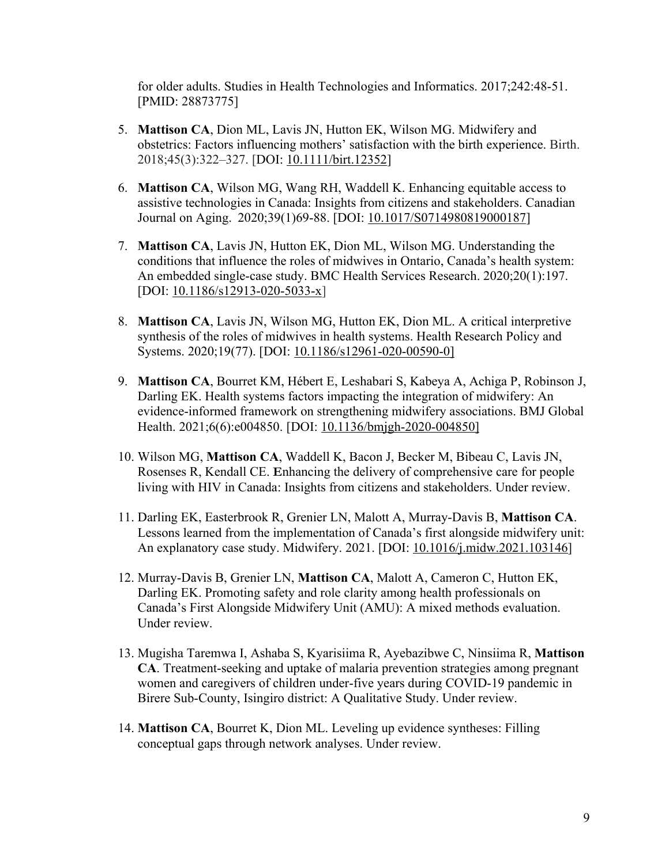for older adults. Studies in Health Technologies and Informatics. 2017;242:48-51. [PMID: 28873775]

- 5. **Mattison CA**, Dion ML, Lavis JN, Hutton EK, Wilson MG. Midwifery and obstetrics: Factors influencing mothers' satisfaction with the birth experience. Birth. 2018;45(3):322–327. [DOI: 10.1111/birt.12352]
- 6. **Mattison CA**, Wilson MG, Wang RH, Waddell K. Enhancing equitable access to assistive technologies in Canada: Insights from citizens and stakeholders. Canadian Journal on Aging. 2020;39(1)69-88. [DOI: 10.1017/S0714980819000187]
- 7. **Mattison CA**, Lavis JN, Hutton EK, Dion ML, Wilson MG. Understanding the conditions that influence the roles of midwives in Ontario, Canada's health system: An embedded single-case study. BMC Health Services Research. 2020;20(1):197. [DOI: 10.1186/s12913-020-5033-x]
- 8. **Mattison CA**, Lavis JN, Wilson MG, Hutton EK, Dion ML. A critical interpretive synthesis of the roles of midwives in health systems. Health Research Policy and Systems. 2020;19(77). [DOI: 10.1186/s12961-020-00590-0]
- 9. **Mattison CA**, Bourret KM, Hébert E, Leshabari S, Kabeya A, Achiga P, Robinson J, Darling EK. Health systems factors impacting the integration of midwifery: An evidence-informed framework on strengthening midwifery associations. BMJ Global Health. 2021;6(6):e004850. [DOI: 10.1136/bmjgh-2020-004850]
- 10. Wilson MG, **Mattison CA**, Waddell K, Bacon J, Becker M, Bibeau C, Lavis JN, Rosenses R, Kendall CE. **E**nhancing the delivery of comprehensive care for people living with HIV in Canada: Insights from citizens and stakeholders. Under review.
- 11. Darling EK, Easterbrook R, Grenier LN, Malott A, Murray-Davis B, **Mattison CA**. Lessons learned from the implementation of Canada's first alongside midwifery unit: An explanatory case study. Midwifery. 2021. [DOI: 10.1016/j.midw.2021.103146]
- 12. Murray-Davis B, Grenier LN, **Mattison CA**, Malott A, Cameron C, Hutton EK, Darling EK. Promoting safety and role clarity among health professionals on Canada's First Alongside Midwifery Unit (AMU): A mixed methods evaluation. Under review.
- 13. Mugisha Taremwa I, Ashaba S, Kyarisiima R, Ayebazibwe C, Ninsiima R, **Mattison CA**. Treatment-seeking and uptake of malaria prevention strategies among pregnant women and caregivers of children under-five years during COVID-19 pandemic in Birere Sub-County, Isingiro district: A Qualitative Study. Under review.
- 14. **Mattison CA**, Bourret K, Dion ML. Leveling up evidence syntheses: Filling conceptual gaps through network analyses. Under review.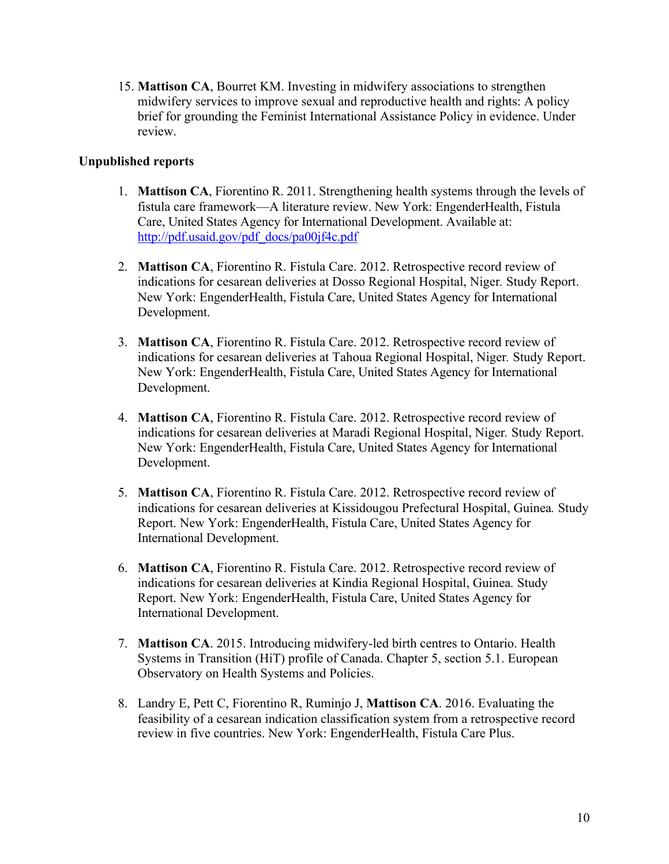15. **Mattison CA**, Bourret KM. Investing in midwifery associations to strengthen midwifery services to improve sexual and reproductive health and rights: A policy brief for grounding the Feminist International Assistance Policy in evidence. Under review.

# **Unpublished reports**

- 1. **Mattison CA**, Fiorentino R. 2011. Strengthening health systems through the levels of fistula care framework—A literature review. New York: EngenderHealth, Fistula Care, United States Agency for International Development. Available at: http://pdf.usaid.gov/pdf\_docs/pa00jf4c.pdf
- 2. **Mattison CA**, Fiorentino R. Fistula Care. 2012. Retrospective record review of indications for cesarean deliveries at Dosso Regional Hospital, Niger*.* Study Report. New York: EngenderHealth, Fistula Care, United States Agency for International Development.
- 3. **Mattison CA**, Fiorentino R. Fistula Care. 2012. Retrospective record review of indications for cesarean deliveries at Tahoua Regional Hospital, Niger*.* Study Report. New York: EngenderHealth, Fistula Care, United States Agency for International Development.
- 4. **Mattison CA**, Fiorentino R. Fistula Care. 2012. Retrospective record review of indications for cesarean deliveries at Maradi Regional Hospital, Niger*.* Study Report. New York: EngenderHealth, Fistula Care, United States Agency for International Development.
- 5. **Mattison CA**, Fiorentino R. Fistula Care. 2012. Retrospective record review of indications for cesarean deliveries at Kissidougou Prefectural Hospital, Guinea*.* Study Report. New York: EngenderHealth, Fistula Care, United States Agency for International Development.
- 6. **Mattison CA**, Fiorentino R. Fistula Care. 2012. Retrospective record review of indications for cesarean deliveries at Kindia Regional Hospital, Guinea*.* Study Report. New York: EngenderHealth, Fistula Care, United States Agency for International Development.
- 7. **Mattison CA**. 2015. Introducing midwifery-led birth centres to Ontario. Health Systems in Transition (HiT) profile of Canada. Chapter 5, section 5.1. European Observatory on Health Systems and Policies.
- 8. Landry E, Pett C, Fiorentino R, Ruminjo J, **Mattison CA**. 2016. Evaluating the feasibility of a cesarean indication classification system from a retrospective record review in five countries. New York: EngenderHealth, Fistula Care Plus.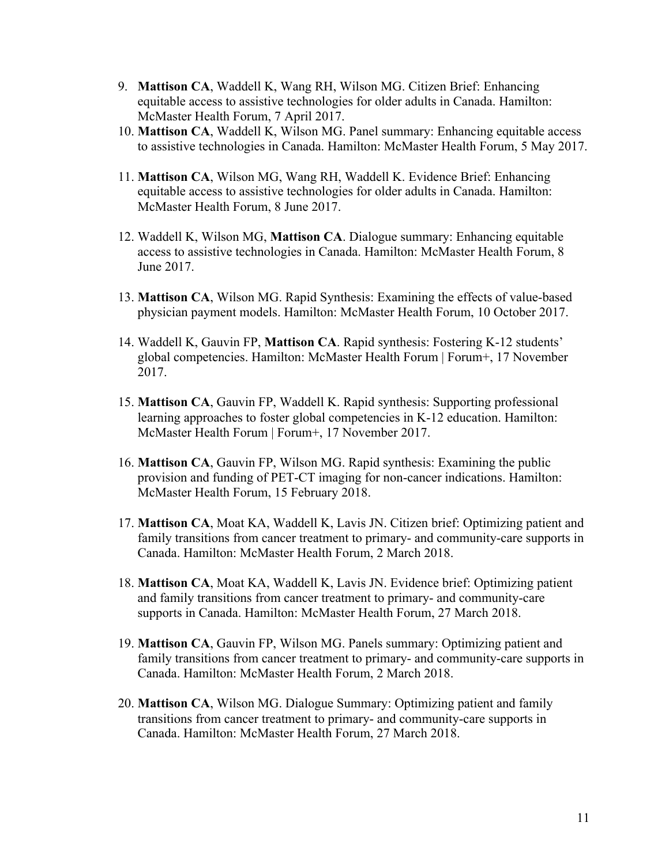- 9. **Mattison CA**, Waddell K, Wang RH, Wilson MG. Citizen Brief: Enhancing equitable access to assistive technologies for older adults in Canada. Hamilton: McMaster Health Forum, 7 April 2017.
- 10. **Mattison CA**, Waddell K, Wilson MG. Panel summary: Enhancing equitable access to assistive technologies in Canada. Hamilton: McMaster Health Forum, 5 May 2017.
- 11. **Mattison CA**, Wilson MG, Wang RH, Waddell K. Evidence Brief: Enhancing equitable access to assistive technologies for older adults in Canada. Hamilton: McMaster Health Forum, 8 June 2017.
- 12. Waddell K, Wilson MG, **Mattison CA**. Dialogue summary: Enhancing equitable access to assistive technologies in Canada. Hamilton: McMaster Health Forum, 8 June 2017.
- 13. **Mattison CA**, Wilson MG. Rapid Synthesis: Examining the effects of value-based physician payment models. Hamilton: McMaster Health Forum, 10 October 2017.
- 14. Waddell K, Gauvin FP, **Mattison CA**. Rapid synthesis: Fostering K-12 students' global competencies. Hamilton: McMaster Health Forum | Forum+, 17 November 2017.
- 15. **Mattison CA**, Gauvin FP, Waddell K. Rapid synthesis: Supporting professional learning approaches to foster global competencies in K-12 education. Hamilton: McMaster Health Forum | Forum+, 17 November 2017.
- 16. **Mattison CA**, Gauvin FP, Wilson MG. Rapid synthesis: Examining the public provision and funding of PET-CT imaging for non-cancer indications. Hamilton: McMaster Health Forum, 15 February 2018.
- 17. **Mattison CA**, Moat KA, Waddell K, Lavis JN. Citizen brief: Optimizing patient and family transitions from cancer treatment to primary- and community-care supports in Canada. Hamilton: McMaster Health Forum, 2 March 2018.
- 18. **Mattison CA**, Moat KA, Waddell K, Lavis JN. Evidence brief: Optimizing patient and family transitions from cancer treatment to primary- and community-care supports in Canada. Hamilton: McMaster Health Forum, 27 March 2018.
- 19. **Mattison CA**, Gauvin FP, Wilson MG. Panels summary: Optimizing patient and family transitions from cancer treatment to primary- and community-care supports in Canada. Hamilton: McMaster Health Forum, 2 March 2018.
- 20. **Mattison CA**, Wilson MG. Dialogue Summary: Optimizing patient and family transitions from cancer treatment to primary- and community-care supports in Canada. Hamilton: McMaster Health Forum, 27 March 2018.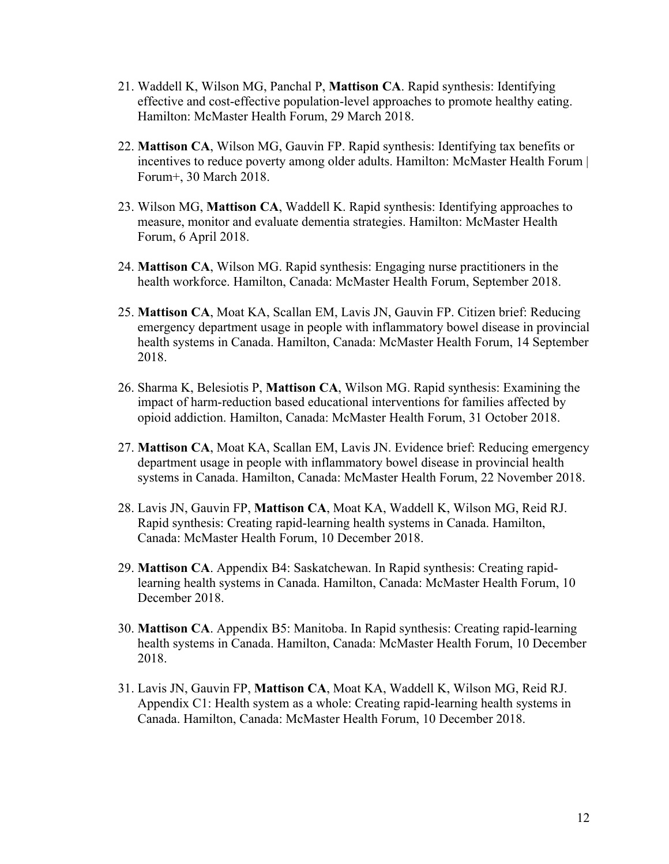- 21. Waddell K, Wilson MG, Panchal P, **Mattison CA**. Rapid synthesis: Identifying effective and cost-effective population-level approaches to promote healthy eating. Hamilton: McMaster Health Forum, 29 March 2018.
- 22. **Mattison CA**, Wilson MG, Gauvin FP. Rapid synthesis: Identifying tax benefits or incentives to reduce poverty among older adults. Hamilton: McMaster Health Forum | Forum+, 30 March 2018.
- 23. Wilson MG, **Mattison CA**, Waddell K. Rapid synthesis: Identifying approaches to measure, monitor and evaluate dementia strategies. Hamilton: McMaster Health Forum, 6 April 2018.
- 24. **Mattison CA**, Wilson MG. Rapid synthesis: Engaging nurse practitioners in the health workforce. Hamilton, Canada: McMaster Health Forum, September 2018.
- 25. **Mattison CA**, Moat KA, Scallan EM, Lavis JN, Gauvin FP. Citizen brief: Reducing emergency department usage in people with inflammatory bowel disease in provincial health systems in Canada. Hamilton, Canada: McMaster Health Forum, 14 September 2018.
- 26. Sharma K, Belesiotis P, **Mattison CA**, Wilson MG. Rapid synthesis: Examining the impact of harm-reduction based educational interventions for families affected by opioid addiction. Hamilton, Canada: McMaster Health Forum, 31 October 2018.
- 27. **Mattison CA**, Moat KA, Scallan EM, Lavis JN. Evidence brief: Reducing emergency department usage in people with inflammatory bowel disease in provincial health systems in Canada. Hamilton, Canada: McMaster Health Forum, 22 November 2018.
- 28. Lavis JN, Gauvin FP, **Mattison CA**, Moat KA, Waddell K, Wilson MG, Reid RJ. Rapid synthesis: Creating rapid-learning health systems in Canada. Hamilton, Canada: McMaster Health Forum, 10 December 2018.
- 29. **Mattison CA**. Appendix B4: Saskatchewan. In Rapid synthesis: Creating rapidlearning health systems in Canada. Hamilton, Canada: McMaster Health Forum, 10 December 2018.
- 30. **Mattison CA**. Appendix B5: Manitoba. In Rapid synthesis: Creating rapid-learning health systems in Canada. Hamilton, Canada: McMaster Health Forum, 10 December 2018.
- 31. Lavis JN, Gauvin FP, **Mattison CA**, Moat KA, Waddell K, Wilson MG, Reid RJ. Appendix C1: Health system as a whole: Creating rapid-learning health systems in Canada. Hamilton, Canada: McMaster Health Forum, 10 December 2018.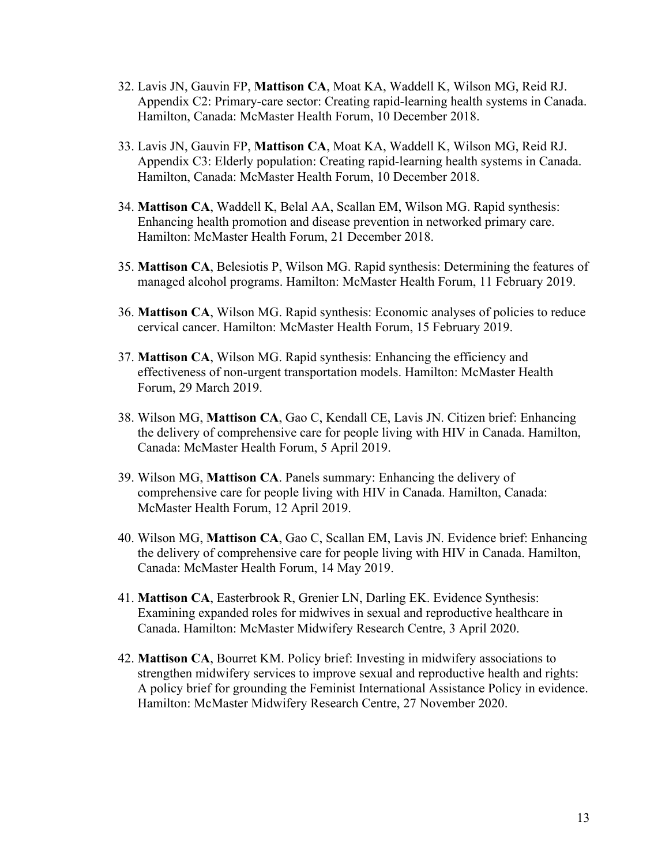- 32. Lavis JN, Gauvin FP, **Mattison CA**, Moat KA, Waddell K, Wilson MG, Reid RJ. Appendix C2: Primary-care sector: Creating rapid-learning health systems in Canada. Hamilton, Canada: McMaster Health Forum, 10 December 2018.
- 33. Lavis JN, Gauvin FP, **Mattison CA**, Moat KA, Waddell K, Wilson MG, Reid RJ. Appendix C3: Elderly population: Creating rapid-learning health systems in Canada. Hamilton, Canada: McMaster Health Forum, 10 December 2018.
- 34. **Mattison CA**, Waddell K, Belal AA, Scallan EM, Wilson MG. Rapid synthesis: Enhancing health promotion and disease prevention in networked primary care. Hamilton: McMaster Health Forum, 21 December 2018.
- 35. **Mattison CA**, Belesiotis P, Wilson MG. Rapid synthesis: Determining the features of managed alcohol programs. Hamilton: McMaster Health Forum, 11 February 2019.
- 36. **Mattison CA**, Wilson MG. Rapid synthesis: Economic analyses of policies to reduce cervical cancer. Hamilton: McMaster Health Forum, 15 February 2019.
- 37. **Mattison CA**, Wilson MG. Rapid synthesis: Enhancing the efficiency and effectiveness of non-urgent transportation models. Hamilton: McMaster Health Forum, 29 March 2019.
- 38. Wilson MG, **Mattison CA**, Gao C, Kendall CE, Lavis JN. Citizen brief: Enhancing the delivery of comprehensive care for people living with HIV in Canada. Hamilton, Canada: McMaster Health Forum, 5 April 2019.
- 39. Wilson MG, **Mattison CA**. Panels summary: Enhancing the delivery of comprehensive care for people living with HIV in Canada. Hamilton, Canada: McMaster Health Forum, 12 April 2019.
- 40. Wilson MG, **Mattison CA**, Gao C, Scallan EM, Lavis JN. Evidence brief: Enhancing the delivery of comprehensive care for people living with HIV in Canada. Hamilton, Canada: McMaster Health Forum, 14 May 2019.
- 41. **Mattison CA**, Easterbrook R, Grenier LN, Darling EK. Evidence Synthesis: Examining expanded roles for midwives in sexual and reproductive healthcare in Canada. Hamilton: McMaster Midwifery Research Centre, 3 April 2020.
- 42. **Mattison CA**, Bourret KM. Policy brief: Investing in midwifery associations to strengthen midwifery services to improve sexual and reproductive health and rights: A policy brief for grounding the Feminist International Assistance Policy in evidence. Hamilton: McMaster Midwifery Research Centre, 27 November 2020.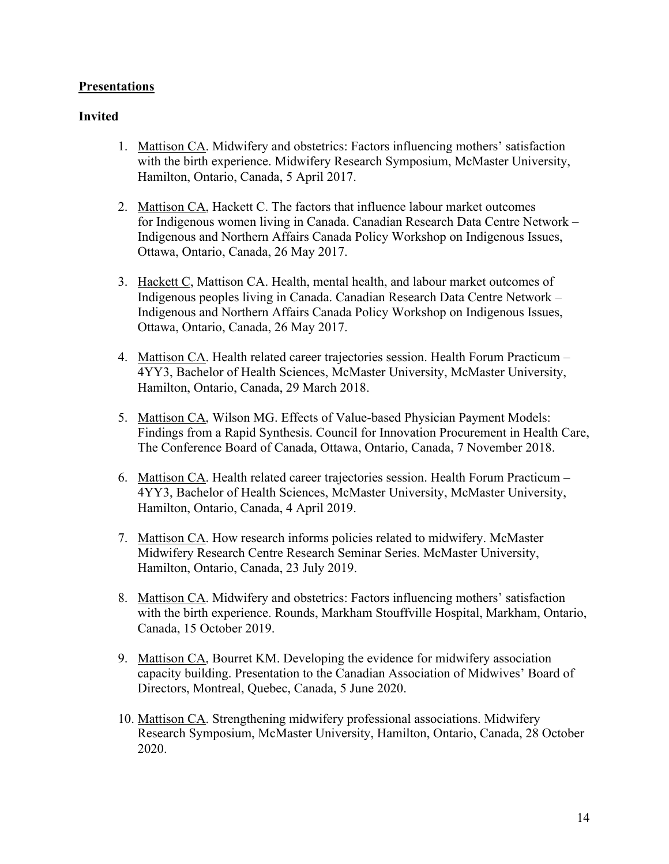## **Presentations**

### **Invited**

- 1. Mattison CA. Midwifery and obstetrics: Factors influencing mothers' satisfaction with the birth experience. Midwifery Research Symposium, McMaster University, Hamilton, Ontario, Canada, 5 April 2017.
- 2. Mattison CA, Hackett C. The factors that influence labour market outcomes for Indigenous women living in Canada. Canadian Research Data Centre Network – Indigenous and Northern Affairs Canada Policy Workshop on Indigenous Issues, Ottawa, Ontario, Canada, 26 May 2017.
- 3. Hackett C, Mattison CA. Health, mental health, and labour market outcomes of Indigenous peoples living in Canada. Canadian Research Data Centre Network – Indigenous and Northern Affairs Canada Policy Workshop on Indigenous Issues, Ottawa, Ontario, Canada, 26 May 2017.
- 4. Mattison CA. Health related career trajectories session. Health Forum Practicum 4YY3, Bachelor of Health Sciences, McMaster University, McMaster University, Hamilton, Ontario, Canada, 29 March 2018.
- 5. Mattison CA, Wilson MG. Effects of Value-based Physician Payment Models: Findings from a Rapid Synthesis. Council for Innovation Procurement in Health Care, The Conference Board of Canada, Ottawa, Ontario, Canada, 7 November 2018.
- 6. Mattison CA. Health related career trajectories session. Health Forum Practicum 4YY3, Bachelor of Health Sciences, McMaster University, McMaster University, Hamilton, Ontario, Canada, 4 April 2019.
- 7. Mattison CA. How research informs policies related to midwifery. McMaster Midwifery Research Centre Research Seminar Series. McMaster University, Hamilton, Ontario, Canada, 23 July 2019.
- 8. Mattison CA. Midwifery and obstetrics: Factors influencing mothers' satisfaction with the birth experience. Rounds, Markham Stouffville Hospital, Markham, Ontario, Canada, 15 October 2019.
- 9. Mattison CA, Bourret KM. Developing the evidence for midwifery association capacity building. Presentation to the Canadian Association of Midwives' Board of Directors, Montreal, Quebec, Canada, 5 June 2020.
- 10. Mattison CA. Strengthening midwifery professional associations. Midwifery Research Symposium, McMaster University, Hamilton, Ontario, Canada, 28 October 2020.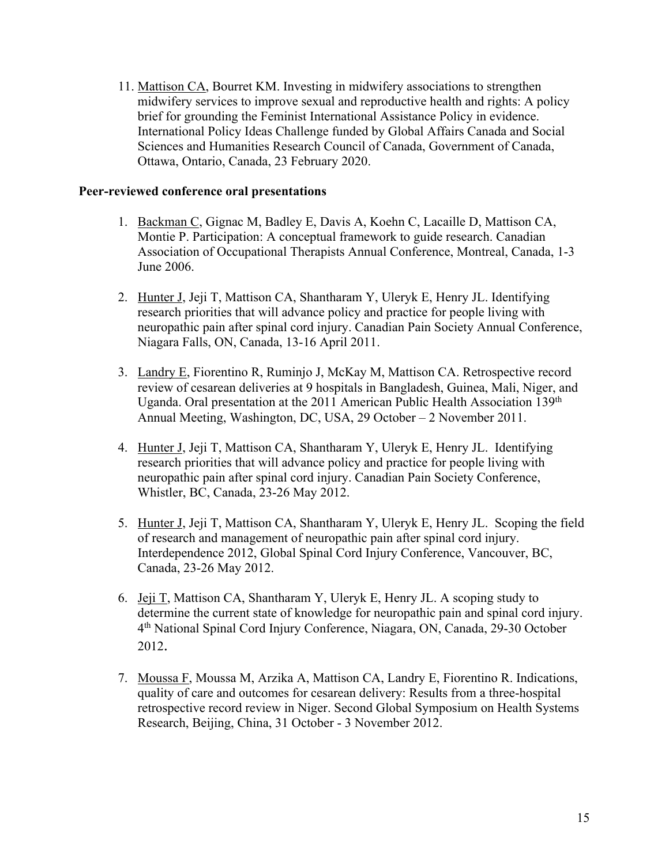11. Mattison CA, Bourret KM. Investing in midwifery associations to strengthen midwifery services to improve sexual and reproductive health and rights: A policy brief for grounding the Feminist International Assistance Policy in evidence. International Policy Ideas Challenge funded by Global Affairs Canada and Social Sciences and Humanities Research Council of Canada, Government of Canada, Ottawa, Ontario, Canada, 23 February 2020.

### **Peer-reviewed conference oral presentations**

- 1. Backman C, Gignac M, Badley E, Davis A, Koehn C, Lacaille D, Mattison CA, Montie P. Participation: A conceptual framework to guide research. Canadian Association of Occupational Therapists Annual Conference, Montreal, Canada, 1-3 June 2006.
- 2. Hunter J, Jeji T, Mattison CA, Shantharam Y, Uleryk E, Henry JL. Identifying research priorities that will advance policy and practice for people living with neuropathic pain after spinal cord injury. Canadian Pain Society Annual Conference, Niagara Falls, ON, Canada, 13-16 April 2011.
- 3. Landry E, Fiorentino R, Ruminjo J, McKay M, Mattison CA. Retrospective record review of cesarean deliveries at 9 hospitals in Bangladesh, Guinea, Mali, Niger, and Uganda. Oral presentation at the 2011 American Public Health Association 139<sup>th</sup> Annual Meeting, Washington, DC, USA, 29 October – 2 November 2011.
- 4. Hunter J, Jeji T, Mattison CA, Shantharam Y, Uleryk E, Henry JL. Identifying research priorities that will advance policy and practice for people living with neuropathic pain after spinal cord injury. Canadian Pain Society Conference, Whistler, BC, Canada, 23-26 May 2012.
- 5. Hunter J, Jeji T, Mattison CA, Shantharam Y, Uleryk E, Henry JL. Scoping the field of research and management of neuropathic pain after spinal cord injury. Interdependence 2012, Global Spinal Cord Injury Conference, Vancouver, BC, Canada, 23-26 May 2012.
- 6. Jeji T, Mattison CA, Shantharam Y, Uleryk E, Henry JL. A scoping study to determine the current state of knowledge for neuropathic pain and spinal cord injury. 4th National Spinal Cord Injury Conference, Niagara, ON, Canada, 29-30 October 2012.
- 7. Moussa F, Moussa M, Arzika A, Mattison CA, Landry E, Fiorentino R. Indications, quality of care and outcomes for cesarean delivery: Results from a three-hospital retrospective record review in Niger. Second Global Symposium on Health Systems Research, Beijing, China, 31 October - 3 November 2012.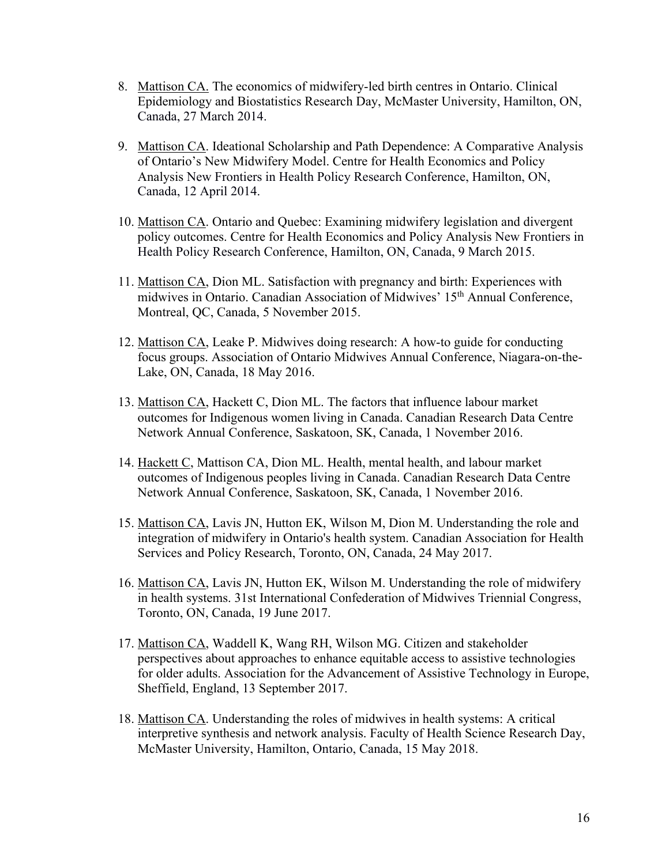- 8. Mattison CA. The economics of midwifery-led birth centres in Ontario. Clinical Epidemiology and Biostatistics Research Day, McMaster University, Hamilton, ON, Canada, 27 March 2014.
- 9. Mattison CA. Ideational Scholarship and Path Dependence: A Comparative Analysis of Ontario's New Midwifery Model. Centre for Health Economics and Policy Analysis New Frontiers in Health Policy Research Conference, Hamilton, ON, Canada, 12 April 2014.
- 10. Mattison CA. Ontario and Quebec: Examining midwifery legislation and divergent policy outcomes. Centre for Health Economics and Policy Analysis New Frontiers in Health Policy Research Conference, Hamilton, ON, Canada, 9 March 2015.
- 11. Mattison CA, Dion ML. Satisfaction with pregnancy and birth: Experiences with midwives in Ontario. Canadian Association of Midwives' 15th Annual Conference, Montreal, QC, Canada, 5 November 2015.
- 12. Mattison CA, Leake P. Midwives doing research: A how-to guide for conducting focus groups. Association of Ontario Midwives Annual Conference, Niagara-on-the-Lake, ON, Canada, 18 May 2016.
- 13. Mattison CA, Hackett C, Dion ML. The factors that influence labour market outcomes for Indigenous women living in Canada. Canadian Research Data Centre Network Annual Conference, Saskatoon, SK, Canada, 1 November 2016.
- 14. Hackett C, Mattison CA, Dion ML. Health, mental health, and labour market outcomes of Indigenous peoples living in Canada. Canadian Research Data Centre Network Annual Conference, Saskatoon, SK, Canada, 1 November 2016.
- 15. Mattison CA, Lavis JN, Hutton EK, Wilson M, Dion M. Understanding the role and integration of midwifery in Ontario's health system. Canadian Association for Health Services and Policy Research, Toronto, ON, Canada, 24 May 2017.
- 16. Mattison CA, Lavis JN, Hutton EK, Wilson M. Understanding the role of midwifery in health systems. 31st International Confederation of Midwives Triennial Congress, Toronto, ON, Canada, 19 June 2017.
- 17. Mattison CA, Waddell K, Wang RH, Wilson MG. Citizen and stakeholder perspectives about approaches to enhance equitable access to assistive technologies for older adults. Association for the Advancement of Assistive Technology in Europe, Sheffield, England, 13 September 2017.
- 18. Mattison CA. Understanding the roles of midwives in health systems: A critical interpretive synthesis and network analysis. Faculty of Health Science Research Day, McMaster University, Hamilton, Ontario, Canada, 15 May 2018.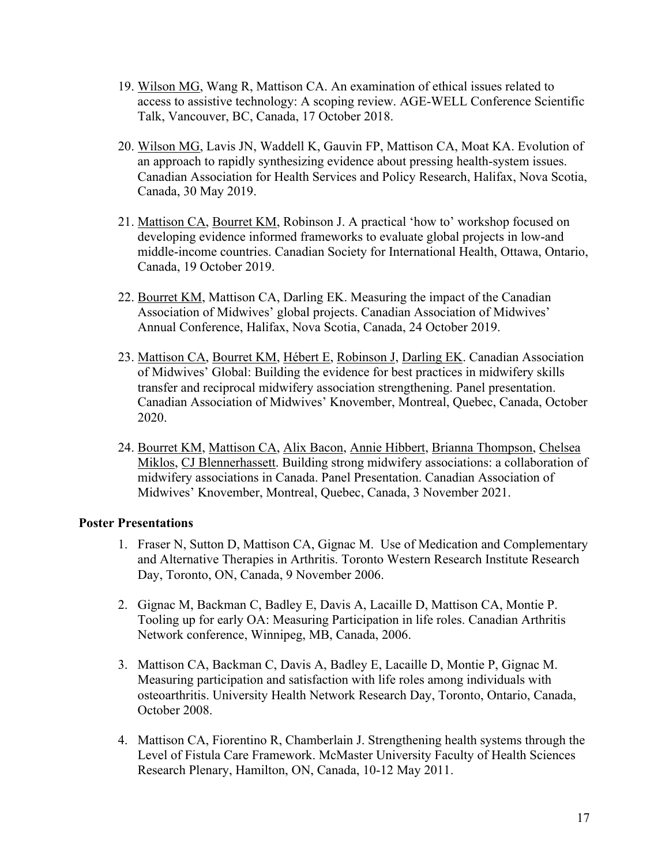- 19. Wilson MG, Wang R, Mattison CA. An examination of ethical issues related to access to assistive technology: A scoping review. AGE-WELL Conference Scientific Talk, Vancouver, BC, Canada, 17 October 2018.
- 20. Wilson MG, Lavis JN, Waddell K, Gauvin FP, Mattison CA, Moat KA. Evolution of an approach to rapidly synthesizing evidence about pressing health-system issues. Canadian Association for Health Services and Policy Research, Halifax, Nova Scotia, Canada, 30 May 2019.
- 21. Mattison CA, Bourret KM, Robinson J. A practical 'how to' workshop focused on developing evidence informed frameworks to evaluate global projects in low-and middle-income countries. Canadian Society for International Health, Ottawa, Ontario, Canada, 19 October 2019.
- 22. Bourret KM, Mattison CA, Darling EK. Measuring the impact of the Canadian Association of Midwives' global projects. Canadian Association of Midwives' Annual Conference, Halifax, Nova Scotia, Canada, 24 October 2019.
- 23. Mattison CA, Bourret KM, Hébert E, Robinson J, Darling EK. Canadian Association of Midwives' Global: Building the evidence for best practices in midwifery skills transfer and reciprocal midwifery association strengthening. Panel presentation. Canadian Association of Midwives' Knovember, Montreal, Quebec, Canada, October 2020.
- 24. Bourret KM, Mattison CA, Alix Bacon, Annie Hibbert, Brianna Thompson, Chelsea Miklos, CJ Blennerhassett. Building strong midwifery associations: a collaboration of midwifery associations in Canada. Panel Presentation. Canadian Association of Midwives' Knovember, Montreal, Quebec, Canada, 3 November 2021.

### **Poster Presentations**

- 1. Fraser N, Sutton D, Mattison CA, Gignac M. Use of Medication and Complementary and Alternative Therapies in Arthritis. Toronto Western Research Institute Research Day, Toronto, ON, Canada, 9 November 2006.
- 2. Gignac M, Backman C, Badley E, Davis A, Lacaille D, Mattison CA, Montie P. Tooling up for early OA: Measuring Participation in life roles. Canadian Arthritis Network conference, Winnipeg, MB, Canada, 2006.
- 3. Mattison CA, Backman C, Davis A, Badley E, Lacaille D, Montie P, Gignac M. Measuring participation and satisfaction with life roles among individuals with osteoarthritis. University Health Network Research Day, Toronto, Ontario, Canada, October 2008.
- 4. Mattison CA, Fiorentino R, Chamberlain J. Strengthening health systems through the Level of Fistula Care Framework. McMaster University Faculty of Health Sciences Research Plenary, Hamilton, ON, Canada, 10-12 May 2011.